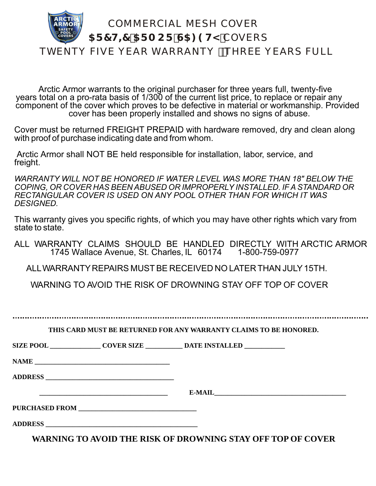

 Arctic Armor warrants to the original purchaser for three years full, twenty-five years total on a pro-rata basis of 1/300 of the current list price, to replace or repair any component of the cover which proves to be defective in material or workmanship. Provided cover has been properly installed and shows no signs of abuse.

Cover must be returned FREIGHT PREPAID with hardware removed, dry and clean along with proof of purchase indicating date and from whom.

 Arctic Armor shall NOT BE held responsible for installation, labor, service, and freight.

*WARRANTY WILL NOT BE HONORED IF WATER LEVEL WAS MORE THAN 18" BELOW THE COPING, OR COVER HAS BEEN ABUSED OR IMPROPERLY INSTALLED. IF A STANDARD OR RECTANGULAR COVER IS USED ON ANY POOL OTHER THAN FOR WHICH IT WAS DESIGNED.*

This warranty gives you specific rights, of which you may have other rights which vary from state to state.

ALL WARRANTY CLAIMS SHOULD BE HANDLED DIRECTLY WITH ARCTIC ARMOR 1745 Wallace Avenue, St. Charles, IL 60174 1-800-759-0977

ALL WARRANTY REPAIRS MUST BE RECEIVED NO LATER THAN JULY 15TH.

WARNING TO AVOID THE RISK OF DROWNING STAY OFF TOP OF COVER

**THIS CARD MUST BE RETURNED FOR ANY WARRANTY CLAIMS TO BE HONORED.**

**SIZE POOL \_\_\_\_\_\_\_\_\_\_\_\_\_\_\_ COVER SIZE \_\_\_\_\_\_\_\_\_\_\_ DATE INSTALLED \_\_\_\_\_\_\_\_\_\_\_\_**

**NAME \_\_\_\_\_\_\_\_\_\_\_\_\_\_\_\_\_\_\_\_\_\_\_\_\_\_\_\_\_\_\_\_\_\_\_\_\_\_\_\_** 

**ADDRESS \_\_\_\_\_\_\_\_\_\_\_\_\_\_\_\_\_\_\_\_\_\_\_\_\_\_\_\_\_\_\_\_\_\_\_\_\_\_**

 **\_\_\_\_\_\_\_\_\_\_\_\_\_\_\_\_\_\_\_\_\_\_\_\_\_\_\_\_\_\_\_\_\_\_\_\_\_\_ E-MAIL\_\_\_\_\_\_\_\_\_\_\_\_\_\_\_\_\_\_\_\_\_\_\_\_\_\_\_\_\_\_\_\_\_\_\_\_\_\_\_**

**PURCHASED FROM \_\_\_\_\_\_\_\_\_\_\_\_\_\_\_\_\_\_\_\_\_\_\_\_\_\_\_\_\_\_\_\_\_\_\_**

**ADDRESS \_\_\_\_\_\_\_\_\_\_\_\_\_\_\_\_\_\_\_\_\_\_\_\_\_\_\_\_\_\_\_\_\_\_\_\_\_\_\_\_\_\_\_\_\_**

**WARNING TO AVOID THE RISK OF DROWNING STAY OFF TOP OF COVER**